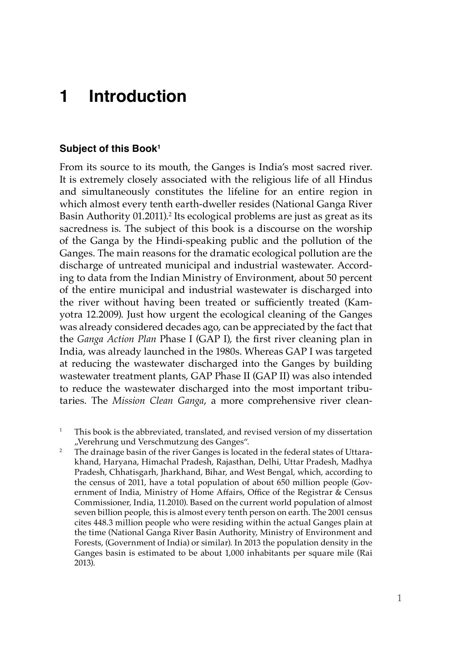# **1 Introduction**

#### **Subject of this Book1**

From its source to its mouth, the Ganges is India's most sacred river. It is extremely closely associated with the religious life of all Hindus and simultaneously constitutes the lifeline for an entire region in which almost every tenth earth-dweller resides (National Ganga River Basin Authority 01.2011).<sup>2</sup> Its ecological problems are just as great as its sacredness is. The subject of this book is a discourse on the worship of the Ganga by the Hindi-speaking public and the pollution of the Ganges. The main reasons for the dramatic ecological pollution are the discharge of untreated municipal and industrial wastewater. According to data from the Indian Ministry of Environment, about 50 percent of the entire municipal and industrial wastewater is discharged into the river without having been treated or sufficiently treated (Kamyotra 12.2009). Just how urgent the ecological cleaning of the Ganges was already considered decades ago, can be appreciated by the fact that the *Ganga Action Plan* Phase I (GAP I), the first river cleaning plan in India, was already launched in the 1980s. Whereas GAP I was targeted at reducing the wastewater discharged into the Ganges by building wastewater treatment plants, GAP Phase II (GAP II) was also intended to reduce the wastewater discharged into the most important tributaries. The *Mission Clean Ganga*, a more comprehensive river clean-

This book is the abbreviated, translated, and revised version of my dissertation "Verehrung und Verschmutzung des Ganges".

<sup>&</sup>lt;sup>2</sup> The drainage basin of the river Ganges is located in the federal states of Uttarakhand, Haryana, Himachal Pradesh, Rajasthan, Delhi, Uttar Pradesh, Madhya Pradesh, Chhatisgarh, Jharkhand, Bihar, and West Bengal, which, according to the census of 2011, have a total population of about 650 million people (Government of India, Ministry of Home Affairs, Office of the Registrar & Census Commissioner, India, 11.2010). Based on the current world population of almost seven billion people, this is almost every tenth person on earth. The 2001 census cites 448.3 million people who were residing within the actual Ganges plain at the time (National Ganga River Basin Authority, Ministry of Environment and Forests, (Government of India) or similar). In 2013 the population density in the Ganges basin is estimated to be about 1,000 inhabitants per square mile (Rai 2013).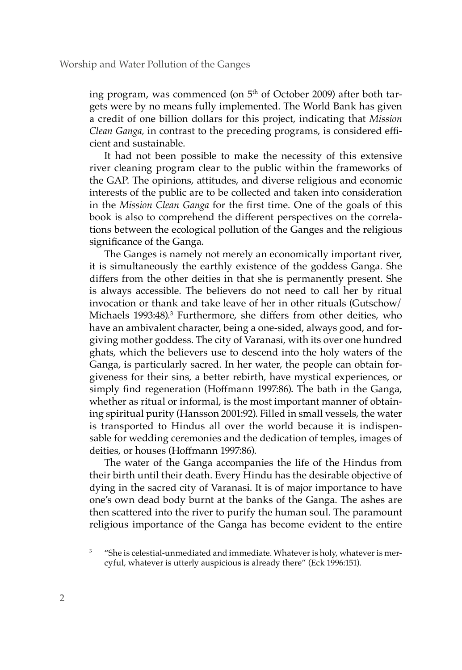ing program, was commenced (on  $5<sup>th</sup>$  of October 2009) after both targets were by no means fully implemented. The World Bank has given a credit of one billion dollars for this project, indicating that *Mission Clean Ganga,* in contrast to the preceding programs, is considered efficient and sustainable.

It had not been possible to make the necessity of this extensive river cleaning program clear to the public within the frameworks of the GAP. The opinions, attitudes, and diverse religious and economic interests of the public are to be collected and taken into consideration in the *Mission Clean Ganga* for the first time*.* One of the goals of this book is also to comprehend the different perspectives on the correlations between the ecological pollution of the Ganges and the religious significance of the Ganga.

The Ganges is namely not merely an economically important river, it is simultaneously the earthly existence of the goddess Ganga. She differs from the other deities in that she is permanently present. She is always accessible. The believers do not need to call her by ritual invocation or thank and take leave of her in other rituals (Gutschow/ Michaels 1993:48).3 Furthermore, she differs from other deities, who have an ambivalent character, being a one-sided, always good, and forgiving mother goddess. The city of Varanasi, with its over one hundred ghats, which the believers use to descend into the holy waters of the Ganga, is particularly sacred. In her water, the people can obtain forgiveness for their sins, a better rebirth, have mystical experiences, or simply find regeneration (Hoffmann 1997:86). The bath in the Ganga, whether as ritual or informal, is the most important manner of obtaining spiritual purity (Hansson 2001:92). Filled in small vessels, the water is transported to Hindus all over the world because it is indispensable for wedding ceremonies and the dedication of temples, images of deities, or houses (Hoffmann 1997:86).

The water of the Ganga accompanies the life of the Hindus from their birth until their death. Every Hindu has the desirable objective of dying in the sacred city of Varanasi. It is of major importance to have one's own dead body burnt at the banks of the Ganga. The ashes are then scattered into the river to purify the human soul. The paramount religious importance of the Ganga has become evident to the entire

<sup>&</sup>quot;She is celestial-unmediated and immediate. Whatever is holy, whatever is mercyful, whatever is utterly auspicious is already there" (Eck 1996:151).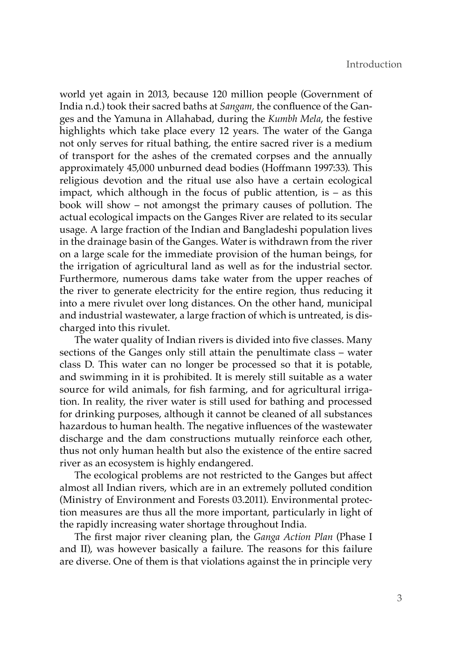world yet again in 2013, because 120 million people (Government of India n.d.) took their sacred baths at *Sangam,* the confluence of the Ganges and the Yamuna in Allahabad, during the *Kumbh Mela*, the festive highlights which take place every 12 years. The water of the Ganga not only serves for ritual bathing, the entire sacred river is a medium of transport for the ashes of the cremated corpses and the annually approximately 45,000 unburned dead bodies (Hoffmann 1997:33). This religious devotion and the ritual use also have a certain ecological impact, which although in the focus of public attention, is – as this book will show – not amongst the primary causes of pollution. The actual ecological impacts on the Ganges River are related to its secular usage. A large fraction of the Indian and Bangladeshi population lives in the drainage basin of the Ganges. Water is withdrawn from the river on a large scale for the immediate provision of the human beings, for the irrigation of agricultural land as well as for the industrial sector. Furthermore, numerous dams take water from the upper reaches of the river to generate electricity for the entire region, thus reducing it into a mere rivulet over long distances. On the other hand, municipal and industrial wastewater, a large fraction of which is untreated, is discharged into this rivulet.

The water quality of Indian rivers is divided into five classes. Many sections of the Ganges only still attain the penultimate class – water class D. This water can no longer be processed so that it is potable, and swimming in it is prohibited. It is merely still suitable as a water source for wild animals, for fish farming, and for agricultural irrigation. In reality, the river water is still used for bathing and processed for drinking purposes, although it cannot be cleaned of all substances hazardous to human health. The negative influences of the wastewater discharge and the dam constructions mutually reinforce each other, thus not only human health but also the existence of the entire sacred river as an ecosystem is highly endangered.

The ecological problems are not restricted to the Ganges but affect almost all Indian rivers, which are in an extremely polluted condition (Ministry of Environment and Forests 03.2011). Environmental protection measures are thus all the more important, particularly in light of the rapidly increasing water shortage throughout India.

The first major river cleaning plan, the *Ganga Action Plan* (Phase I and II), was however basically a failure. The reasons for this failure are diverse. One of them is that violations against the in principle very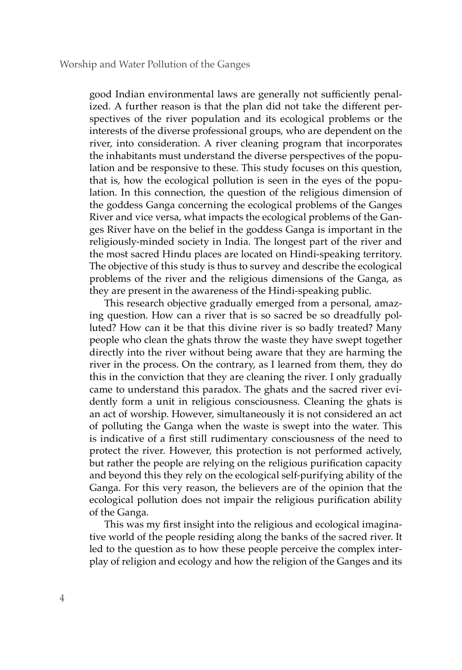good Indian environmental laws are generally not sufficiently penalized. A further reason is that the plan did not take the different perspectives of the river population and its ecological problems or the interests of the diverse professional groups, who are dependent on the river, into consideration. A river cleaning program that incorporates the inhabitants must understand the diverse perspectives of the population and be responsive to these. This study focuses on this question, that is, how the ecological pollution is seen in the eyes of the population. In this connection, the question of the religious dimension of the goddess Ganga concerning the ecological problems of the Ganges River and vice versa, what impacts the ecological problems of the Ganges River have on the belief in the goddess Ganga is important in the religiously-minded society in India. The longest part of the river and the most sacred Hindu places are located on Hindi-speaking territory. The objective of this study is thus to survey and describe the ecological problems of the river and the religious dimensions of the Ganga, as they are present in the awareness of the Hindi-speaking public.

This research objective gradually emerged from a personal, amazing question. How can a river that is so sacred be so dreadfully polluted? How can it be that this divine river is so badly treated? Many people who clean the ghats throw the waste they have swept together directly into the river without being aware that they are harming the river in the process. On the contrary, as I learned from them, they do this in the conviction that they are cleaning the river. I only gradually came to understand this paradox. The ghats and the sacred river evidently form a unit in religious consciousness. Cleaning the ghats is an act of worship. However, simultaneously it is not considered an act of polluting the Ganga when the waste is swept into the water. This is indicative of a first still rudimentary consciousness of the need to protect the river. However, this protection is not performed actively, but rather the people are relying on the religious purification capacity and beyond this they rely on the ecological self-purifying ability of the Ganga. For this very reason, the believers are of the opinion that the ecological pollution does not impair the religious purification ability of the Ganga.

This was my first insight into the religious and ecological imaginative world of the people residing along the banks of the sacred river. It led to the question as to how these people perceive the complex interplay of religion and ecology and how the religion of the Ganges and its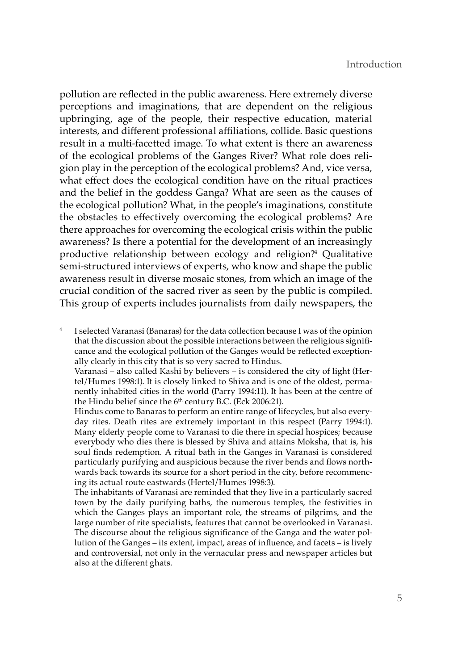pollution are reflected in the public awareness. Here extremely diverse perceptions and imaginations, that are dependent on the religious upbringing, age of the people, their respective education, material interests, and different professional affiliations, collide. Basic questions result in a multi-facetted image. To what extent is there an awareness of the ecological problems of the Ganges River? What role does religion play in the perception of the ecological problems? And, vice versa, what effect does the ecological condition have on the ritual practices and the belief in the goddess Ganga? What are seen as the causes of the ecological pollution? What, in the people's imaginations, constitute the obstacles to effectively overcoming the ecological problems? Are there approaches for overcoming the ecological crisis within the public awareness? Is there a potential for the development of an increasingly productive relationship between ecology and religion?4 Qualitative semi-structured interviews of experts, who know and shape the public awareness result in diverse mosaic stones, from which an image of the crucial condition of the sacred river as seen by the public is compiled. This group of experts includes journalists from daily newspapers, the

<sup>4</sup> I selected Varanasi (Banaras) for the data collection because I was of the opinion that the discussion about the possible interactions between the religious significance and the ecological pollution of the Ganges would be reflected exceptionally clearly in this city that is so very sacred to Hindus.

Varanasi – also called Kashi by believers – is considered the city of light (Hertel/Humes 1998:1). It is closely linked to Shiva and is one of the oldest, permanently inhabited cities in the world (Parry 1994:11). It has been at the centre of the Hindu belief since the 6<sup>th</sup> century B.C. (Eck 2006:21).

Hindus come to Banaras to perform an entire range of lifecycles, but also everyday rites. Death rites are extremely important in this respect (Parry 1994:1). Many elderly people come to Varanasi to die there in special hospices; because everybody who dies there is blessed by Shiva and attains Moksha, that is, his soul finds redemption. A ritual bath in the Ganges in Varanasi is considered particularly purifying and auspicious because the river bends and flows northwards back towards its source for a short period in the city, before recommencing its actual route eastwards (Hertel/Humes 1998:3).

The inhabitants of Varanasi are reminded that they live in a particularly sacred town by the daily purifying baths, the numerous temples, the festivities in which the Ganges plays an important role, the streams of pilgrims, and the large number of rite specialists, features that cannot be overlooked in Varanasi. The discourse about the religious significance of the Ganga and the water pollution of the Ganges – its extent, impact, areas of influence, and facets – is lively and controversial, not only in the vernacular press and newspaper articles but also at the different ghats.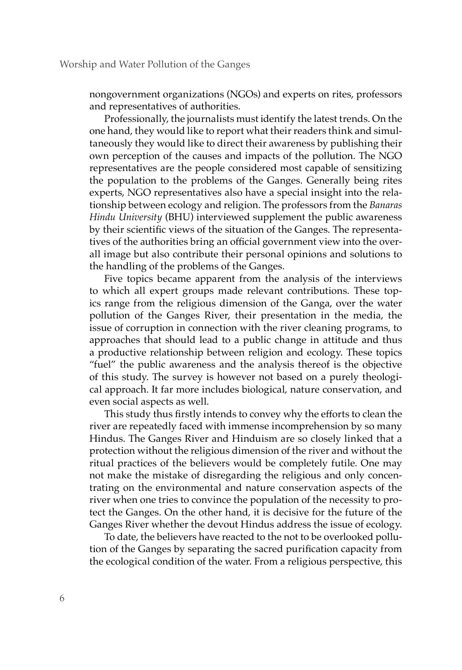nongovernment organizations (NGOs) and experts on rites, professors and representatives of authorities.

Professionally, the journalists must identify the latest trends. On the one hand, they would like to report what their readers think and simultaneously they would like to direct their awareness by publishing their own perception of the causes and impacts of the pollution. The NGO representatives are the people considered most capable of sensitizing the population to the problems of the Ganges. Generally being rites experts, NGO representatives also have a special insight into the relationship between ecology and religion. The professors from the *Banaras Hindu University* (BHU) interviewed supplement the public awareness by their scientific views of the situation of the Ganges. The representatives of the authorities bring an official government view into the overall image but also contribute their personal opinions and solutions to the handling of the problems of the Ganges.

Five topics became apparent from the analysis of the interviews to which all expert groups made relevant contributions. These topics range from the religious dimension of the Ganga, over the water pollution of the Ganges River, their presentation in the media, the issue of corruption in connection with the river cleaning programs, to approaches that should lead to a public change in attitude and thus a productive relationship between religion and ecology. These topics "fuel" the public awareness and the analysis thereof is the objective of this study. The survey is however not based on a purely theological approach. It far more includes biological, nature conservation, and even social aspects as well.

This study thus firstly intends to convey why the efforts to clean the river are repeatedly faced with immense incomprehension by so many Hindus. The Ganges River and Hinduism are so closely linked that a protection without the religious dimension of the river and without the ritual practices of the believers would be completely futile. One may not make the mistake of disregarding the religious and only concentrating on the environmental and nature conservation aspects of the river when one tries to convince the population of the necessity to protect the Ganges. On the other hand, it is decisive for the future of the Ganges River whether the devout Hindus address the issue of ecology.

To date, the believers have reacted to the not to be overlooked pollution of the Ganges by separating the sacred purification capacity from the ecological condition of the water. From a religious perspective, this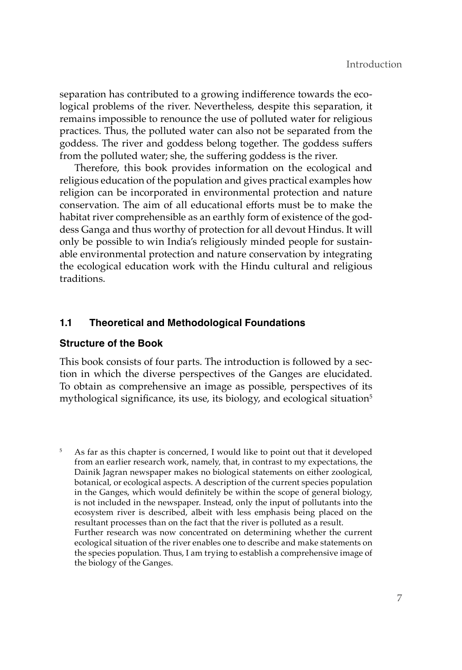separation has contributed to a growing indifference towards the ecological problems of the river. Nevertheless, despite this separation, it remains impossible to renounce the use of polluted water for religious practices. Thus, the polluted water can also not be separated from the goddess. The river and goddess belong together. The goddess suffers from the polluted water; she, the suffering goddess is the river.

Therefore, this book provides information on the ecological and religious education of the population and gives practical examples how religion can be incorporated in environmental protection and nature conservation. The aim of all educational efforts must be to make the habitat river comprehensible as an earthly form of existence of the goddess Ganga and thus worthy of protection for all devout Hindus. It will only be possible to win India's religiously minded people for sustainable environmental protection and nature conservation by integrating the ecological education work with the Hindu cultural and religious traditions.

## **1.1 Theoretical and Methodological Foundations**

#### **Structure of the Book**

This book consists of four parts. The introduction is followed by a section in which the diverse perspectives of the Ganges are elucidated. To obtain as comprehensive an image as possible, perspectives of its mythological significance, its use, its biology, and ecological situation<sup>5</sup>

As far as this chapter is concerned, I would like to point out that it developed from an earlier research work, namely, that, in contrast to my expectations, the Dainik Jagran newspaper makes no biological statements on either zoological, botanical, or ecological aspects. A description of the current species population in the Ganges, which would definitely be within the scope of general biology, is not included in the newspaper. Instead, only the input of pollutants into the ecosystem river is described, albeit with less emphasis being placed on the resultant processes than on the fact that the river is polluted as a result. Further research was now concentrated on determining whether the current ecological situation of the river enables one to describe and make statements on the species population. Thus, I am trying to establish a comprehensive image of the biology of the Ganges.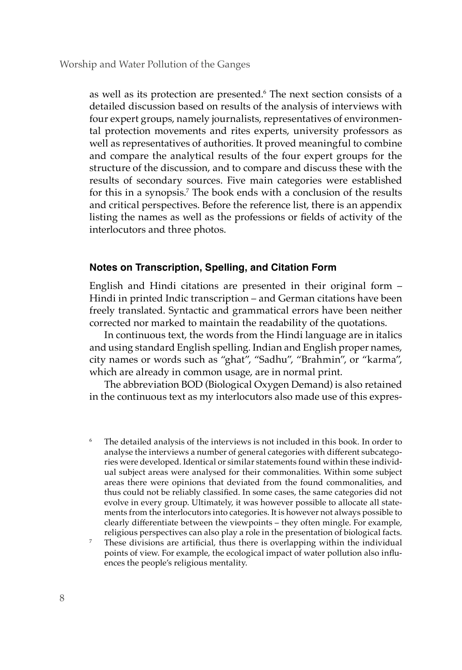as well as its protection are presented.<sup>6</sup> The next section consists of a detailed discussion based on results of the analysis of interviews with four expert groups, namely journalists, representatives of environmental protection movements and rites experts, university professors as well as representatives of authorities. It proved meaningful to combine and compare the analytical results of the four expert groups for the structure of the discussion, and to compare and discuss these with the results of secondary sources. Five main categories were established for this in a synopsis.<sup>7</sup> The book ends with a conclusion of the results and critical perspectives. Before the reference list, there is an appendix listing the names as well as the professions or fields of activity of the interlocutors and three photos.

## **Notes on Transcription, Spelling, and Citation Form**

English and Hindi citations are presented in their original form – Hindi in printed Indic transcription – and German citations have been freely translated. Syntactic and grammatical errors have been neither corrected nor marked to maintain the readability of the quotations.

In continuous text, the words from the Hindi language are in italics and using standard English spelling. Indian and English proper names, city names or words such as "ghat", "Sadhu", "Brahmin", or "karma", which are already in common usage, are in normal print.

The abbreviation BOD (Biological Oxygen Demand) is also retained in the continuous text as my interlocutors also made use of this expres-

The detailed analysis of the interviews is not included in this book. In order to analyse the interviews a number of general categories with different subcategories were developed. Identical or similar statements found within these individual subject areas were analysed for their commonalities. Within some subject areas there were opinions that deviated from the found commonalities, and thus could not be reliably classified. In some cases, the same categories did not evolve in every group. Ultimately, it was however possible to allocate all statements from the interlocutors into categories. It is however not always possible to clearly differentiate between the viewpoints – they often mingle. For example, religious perspectives can also play a role in the presentation of biological facts.

 $7$  These divisions are artificial, thus there is overlapping within the individual points of view. For example, the ecological impact of water pollution also influences the people's religious mentality.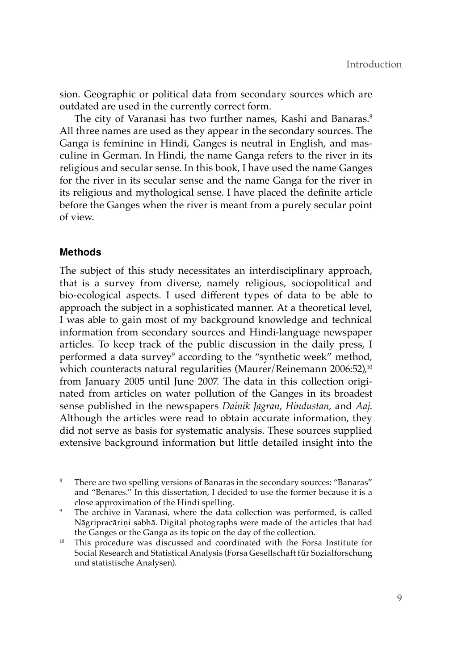sion. Geographic or political data from secondary sources which are outdated are used in the currently correct form.

The city of Varanasi has two further names, Kashi and Banaras.<sup>8</sup> All three names are used as they appear in the secondary sources. The Ganga is feminine in Hindi, Ganges is neutral in English, and masculine in German. In Hindi, the name Ganga refers to the river in its religious and secular sense. In this book, I have used the name Ganges for the river in its secular sense and the name Ganga for the river in its religious and mythological sense. I have placed the definite article before the Ganges when the river is meant from a purely secular point of view.

#### **Methods**

The subject of this study necessitates an interdisciplinary approach, that is a survey from diverse, namely religious, sociopolitical and bio-ecological aspects. I used different types of data to be able to approach the subject in a sophisticated manner. At a theoretical level, I was able to gain most of my background knowledge and technical information from secondary sources and Hindi-language newspaper articles. To keep track of the public discussion in the daily press, I performed a data survey<sup>9</sup> according to the "synthetic week" method, which counteracts natural regularities (Maurer/Reinemann 2006:52),<sup>10</sup> from January 2005 until June 2007. The data in this collection originated from articles on water pollution of the Ganges in its broadest sense published in the newspapers *Dainik Jagran*, *Hindustan*, and *Aaj*. Although the articles were read to obtain accurate information, they did not serve as basis for systematic analysis. These sources supplied extensive background information but little detailed insight into the

<sup>8</sup> There are two spelling versions of Banaras in the secondary sources: "Banaras" and "Benares." In this dissertation, I decided to use the former because it is a close approximation of the Hindi spelling.

The archive in Varanasi, where the data collection was performed, is called Nāgripracāriṇi sabhā. Digital photographs were made of the articles that had the Ganges or the Ganga as its topic on the day of the collection.

 $10$  This procedure was discussed and coordinated with the Forsa Institute for Social Research and Statistical Analysis (Forsa Gesellschaft für Sozialforschung und statistische Analysen).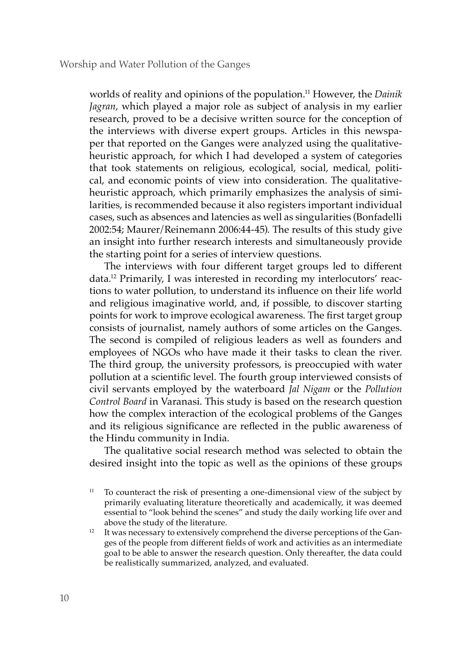worlds of reality and opinions of the population.<sup>11</sup> However, the *Dainik Jagran*, which played a major role as subject of analysis in my earlier research, proved to be a decisive written source for the conception of the interviews with diverse expert groups. Articles in this newspaper that reported on the Ganges were analyzed using the qualitativeheuristic approach, for which I had developed a system of categories that took statements on religious, ecological, social, medical, political, and economic points of view into consideration. The qualitativeheuristic approach, which primarily emphasizes the analysis of similarities, is recommended because it also registers important individual cases, such as absences and latencies as well as singularities (Bonfadelli 2002:54; Maurer/Reinemann 2006:44-45). The results of this study give an insight into further research interests and simultaneously provide the starting point for a series of interview questions.

The interviews with four different target groups led to different data.12 Primarily, I was interested in recording my interlocutors' reactions to water pollution, to understand its influence on their life world and religious imaginative world, and, if possible, to discover starting points for work to improve ecological awareness. The first target group consists of journalist, namely authors of some articles on the Ganges. The second is compiled of religious leaders as well as founders and employees of NGOs who have made it their tasks to clean the river. The third group, the university professors, is preoccupied with water pollution at a scientific level. The fourth group interviewed consists of civil servants employed by the waterboard *Jal Nigam* or the *Pollution Control Board* in Varanasi. This study is based on the research question how the complex interaction of the ecological problems of the Ganges and its religious significance are reflected in the public awareness of the Hindu community in India.

The qualitative social research method was selected to obtain the desired insight into the topic as well as the opinions of these groups

To counteract the risk of presenting a one-dimensional view of the subject by primarily evaluating literature theoretically and academically, it was deemed essential to "look behind the scenes" and study the daily working life over and above the study of the literature.<br><sup>12</sup> It was necessary to extensively comprehend the diverse perceptions of the Gan-

ges of the people from different fields of work and activities as an intermediate goal to be able to answer the research question. Only thereafter, the data could be realistically summarized, analyzed, and evaluated.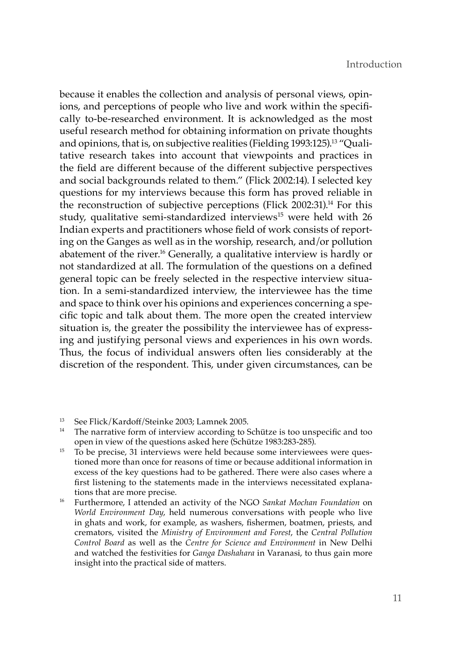because it enables the collection and analysis of personal views, opinions, and perceptions of people who live and work within the specifically to-be-researched environment. It is acknowledged as the most useful research method for obtaining information on private thoughts and opinions, that is, on subjective realities (Fielding 1993:125).13 "Qualitative research takes into account that viewpoints and practices in the field are different because of the different subjective perspectives and social backgrounds related to them." (Flick 2002:14). I selected key questions for my interviews because this form has proved reliable in the reconstruction of subjective perceptions (Flick 2002:31).<sup>14</sup> For this study, qualitative semi-standardized interviews $^{15}$  were held with 26 Indian experts and practitioners whose field of work consists of reporting on the Ganges as well as in the worship, research, and/or pollution abatement of the river.16 Generally, a qualitative interview is hardly or not standardized at all. The formulation of the questions on a defined general topic can be freely selected in the respective interview situation. In a semi-standardized interview, the interviewee has the time and space to think over his opinions and experiences concerning a specific topic and talk about them. The more open the created interview situation is, the greater the possibility the interviewee has of expressing and justifying personal views and experiences in his own words. Thus, the focus of individual answers often lies considerably at the discretion of the respondent. This, under given circumstances, can be

<sup>13</sup> See Flick/Kardoff/Steinke 2003; Lamnek 2005.<br><sup>14</sup> The narrative form of interview according to 5

- The narrative form of interview according to Schütze is too unspecific and too open in view of the questions asked here (Schütze 1983:283-285).
- <sup>15</sup> To be precise, 31 interviews were held because some interviewees were questioned more than once for reasons of time or because additional information in excess of the key questions had to be gathered. There were also cases where a first listening to the statements made in the interviews necessitated explanations that are more precise.<br>Furthermore, I attended an activity of the NGO *Sankat Mochan Foundation* on
- *World Environment Day*, held numerous conversations with people who live in ghats and work, for example, as washers, fishermen, boatmen, priests, and cremators, visited the *Ministry of Environment and Forest*, the *Central Pollution Control Board* as well as the *Centre for Science and Environment* in New Delhi and watched the festivities for *Ganga Dashahara* in Varanasi, to thus gain more insight into the practical side of matters.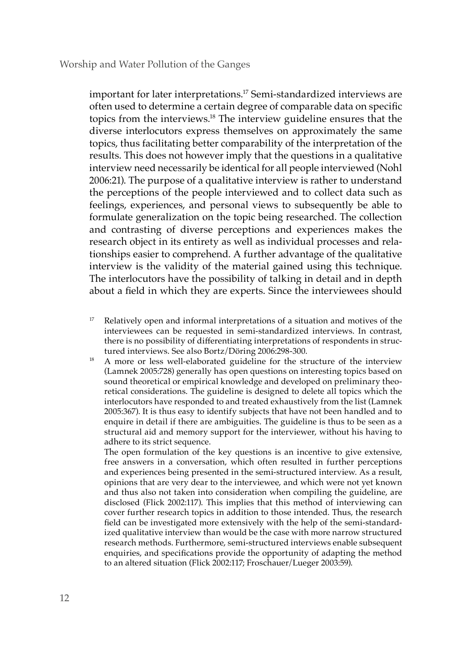important for later interpretations.<sup>17</sup> Semi-standardized interviews are often used to determine a certain degree of comparable data on specific topics from the interviews.18 The interview guideline ensures that the diverse interlocutors express themselves on approximately the same topics, thus facilitating better comparability of the interpretation of the results. This does not however imply that the questions in a qualitative interview need necessarily be identical for all people interviewed (Nohl 2006:21). The purpose of a qualitative interview is rather to understand the perceptions of the people interviewed and to collect data such as feelings, experiences, and personal views to subsequently be able to formulate generalization on the topic being researched. The collection and contrasting of diverse perceptions and experiences makes the research object in its entirety as well as individual processes and relationships easier to comprehend. A further advantage of the qualitative interview is the validity of the material gained using this technique. The interlocutors have the possibility of talking in detail and in depth about a field in which they are experts. Since the interviewees should

- Relatively open and informal interpretations of a situation and motives of the interviewees can be requested in semi-standardized interviews. In contrast, there is no possibility of differentiating interpretations of respondents in structured interviews. See also Bortz/Döring 2006:298-300.
- <sup>18</sup> A more or less well-elaborated guideline for the structure of the interview (Lamnek 2005:728) generally has open questions on interesting topics based on sound theoretical or empirical knowledge and developed on preliminary theoretical considerations. The guideline is designed to delete all topics which the interlocutors have responded to and treated exhaustively from the list (Lamnek 2005:367). It is thus easy to identify subjects that have not been handled and to enquire in detail if there are ambiguities. The guideline is thus to be seen as a structural aid and memory support for the interviewer, without his having to adhere to its strict sequence.

The open formulation of the key questions is an incentive to give extensive, free answers in a conversation, which often resulted in further perceptions and experiences being presented in the semi-structured interview. As a result, opinions that are very dear to the interviewee, and which were not yet known and thus also not taken into consideration when compiling the guideline, are disclosed (Flick 2002:117). This implies that this method of interviewing can cover further research topics in addition to those intended. Thus, the research field can be investigated more extensively with the help of the semi-standardized qualitative interview than would be the case with more narrow structured research methods. Furthermore, semi-structured interviews enable subsequent enquiries, and specifications provide the opportunity of adapting the method to an altered situation (Flick 2002:117; Froschauer/Lueger 2003:59).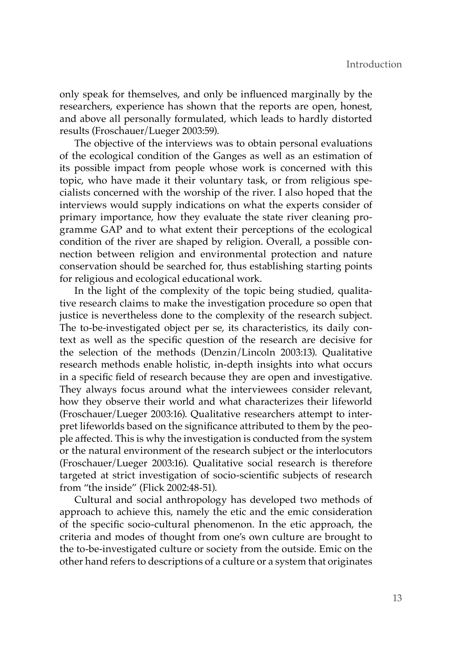only speak for themselves, and only be influenced marginally by the researchers, experience has shown that the reports are open, honest, and above all personally formulated, which leads to hardly distorted results (Froschauer/Lueger 2003:59).

The objective of the interviews was to obtain personal evaluations of the ecological condition of the Ganges as well as an estimation of its possible impact from people whose work is concerned with this topic, who have made it their voluntary task, or from religious specialists concerned with the worship of the river. I also hoped that the interviews would supply indications on what the experts consider of primary importance, how they evaluate the state river cleaning programme GAP and to what extent their perceptions of the ecological condition of the river are shaped by religion. Overall, a possible connection between religion and environmental protection and nature conservation should be searched for, thus establishing starting points for religious and ecological educational work.

In the light of the complexity of the topic being studied, qualitative research claims to make the investigation procedure so open that justice is nevertheless done to the complexity of the research subject. The to-be-investigated object per se, its characteristics, its daily context as well as the specific question of the research are decisive for the selection of the methods (Denzin/Lincoln 2003:13). Qualitative research methods enable holistic, in-depth insights into what occurs in a specific field of research because they are open and investigative. They always focus around what the interviewees consider relevant, how they observe their world and what characterizes their lifeworld (Froschauer/Lueger 2003:16). Qualitative researchers attempt to interpret lifeworlds based on the significance attributed to them by the people affected. This is why the investigation is conducted from the system or the natural environment of the research subject or the interlocutors (Froschauer/Lueger 2003:16). Qualitative social research is therefore targeted at strict investigation of socio-scientific subjects of research from "the inside" (Flick 2002:48-51).

Cultural and social anthropology has developed two methods of approach to achieve this, namely the etic and the emic consideration of the specific socio-cultural phenomenon. In the etic approach, the criteria and modes of thought from one's own culture are brought to the to-be-investigated culture or society from the outside. Emic on the other hand refers to descriptions of a culture or a system that originates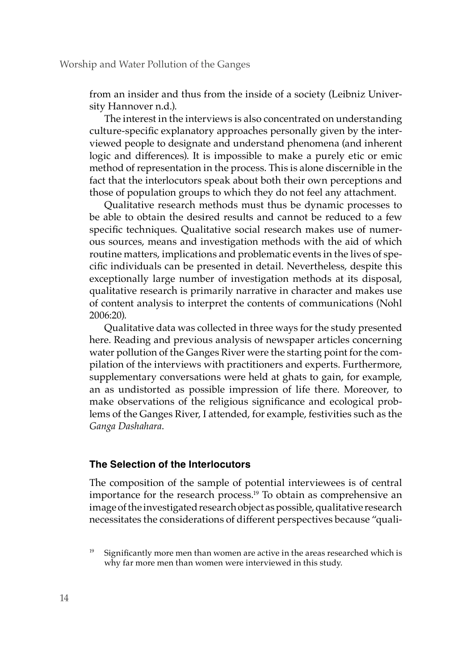from an insider and thus from the inside of a society (Leibniz University Hannover n.d.).

The interest in the interviews is also concentrated on understanding culture-specific explanatory approaches personally given by the interviewed people to designate and understand phenomena (and inherent logic and differences). It is impossible to make a purely etic or emic method of representation in the process. This is alone discernible in the fact that the interlocutors speak about both their own perceptions and those of population groups to which they do not feel any attachment.

Qualitative research methods must thus be dynamic processes to be able to obtain the desired results and cannot be reduced to a few specific techniques. Qualitative social research makes use of numerous sources, means and investigation methods with the aid of which routine matters, implications and problematic events in the lives of specific individuals can be presented in detail. Nevertheless, despite this exceptionally large number of investigation methods at its disposal, qualitative research is primarily narrative in character and makes use of content analysis to interpret the contents of communications (Nohl 2006:20).

Qualitative data was collected in three ways for the study presented here. Reading and previous analysis of newspaper articles concerning water pollution of the Ganges River were the starting point for the compilation of the interviews with practitioners and experts. Furthermore, supplementary conversations were held at ghats to gain, for example, an as undistorted as possible impression of life there. Moreover, to make observations of the religious significance and ecological problems of the Ganges River, I attended, for example, festivities such as the *Ganga Dashahara*.

#### **The Selection of the Interlocutors**

The composition of the sample of potential interviewees is of central importance for the research process.<sup>19</sup> To obtain as comprehensive an image of the investigated research object as possible, qualitative research necessitates the considerations of different perspectives because "quali-

Significantly more men than women are active in the areas researched which is why far more men than women were interviewed in this study.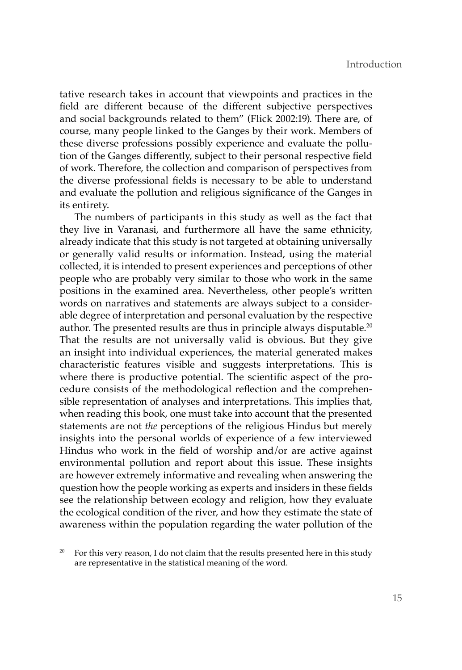tative research takes in account that viewpoints and practices in the field are different because of the different subjective perspectives and social backgrounds related to them" (Flick 2002:19). There are, of course, many people linked to the Ganges by their work. Members of these diverse professions possibly experience and evaluate the pollution of the Ganges differently, subject to their personal respective field of work. Therefore, the collection and comparison of perspectives from the diverse professional fields is necessary to be able to understand and evaluate the pollution and religious significance of the Ganges in its entirety.

The numbers of participants in this study as well as the fact that they live in Varanasi, and furthermore all have the same ethnicity, already indicate that this study is not targeted at obtaining universally or generally valid results or information. Instead, using the material collected, it is intended to present experiences and perceptions of other people who are probably very similar to those who work in the same positions in the examined area. Nevertheless, other people's written words on narratives and statements are always subject to a considerable degree of interpretation and personal evaluation by the respective author. The presented results are thus in principle always disputable.<sup>20</sup> That the results are not universally valid is obvious. But they give an insight into individual experiences, the material generated makes characteristic features visible and suggests interpretations. This is where there is productive potential. The scientific aspect of the procedure consists of the methodological reflection and the comprehensible representation of analyses and interpretations. This implies that, when reading this book, one must take into account that the presented statements are not *the* perceptions of the religious Hindus but merely insights into the personal worlds of experience of a few interviewed Hindus who work in the field of worship and/or are active against environmental pollution and report about this issue. These insights are however extremely informative and revealing when answering the question how the people working as experts and insiders in these fields see the relationship between ecology and religion, how they evaluate the ecological condition of the river, and how they estimate the state of awareness within the population regarding the water pollution of the

For this very reason, I do not claim that the results presented here in this study are representative in the statistical meaning of the word.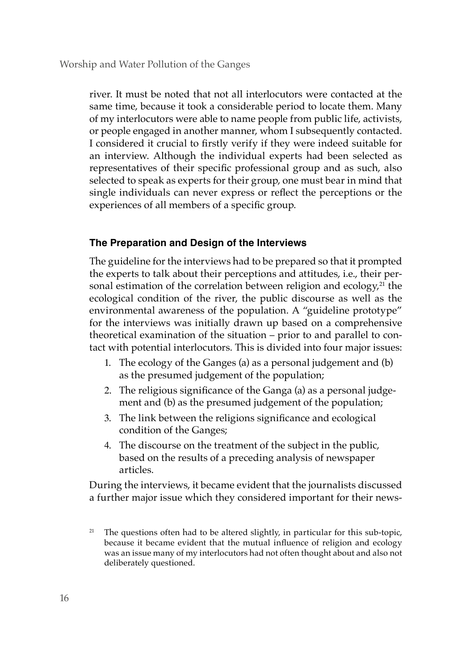river. It must be noted that not all interlocutors were contacted at the same time, because it took a considerable period to locate them. Many of my interlocutors were able to name people from public life, activists, or people engaged in another manner, whom I subsequently contacted. I considered it crucial to firstly verify if they were indeed suitable for an interview. Although the individual experts had been selected as representatives of their specific professional group and as such, also selected to speak as experts for their group, one must bear in mind that single individuals can never express or reflect the perceptions or the experiences of all members of a specific group.

# **The Preparation and Design of the Interviews**

The guideline for the interviews had to be prepared so that it prompted the experts to talk about their perceptions and attitudes, i.e., their personal estimation of the correlation between religion and ecology, $^{21}$  the ecological condition of the river, the public discourse as well as the environmental awareness of the population. A "guideline prototype" for the interviews was initially drawn up based on a comprehensive theoretical examination of the situation – prior to and parallel to contact with potential interlocutors. This is divided into four major issues:

- 1. The ecology of the Ganges (a) as a personal judgement and (b) as the presumed judgement of the population;
- 2. The religious significance of the Ganga (a) as a personal judgement and (b) as the presumed judgement of the population;
- 3. The link between the religions significance and ecological condition of the Ganges;
- 4. The discourse on the treatment of the subject in the public, based on the results of a preceding analysis of newspaper articles.

During the interviews, it became evident that the journalists discussed a further major issue which they considered important for their news-

 $21$  The questions often had to be altered slightly, in particular for this sub-topic, because it became evident that the mutual influence of religion and ecology was an issue many of my interlocutors had not often thought about and also not deliberately questioned.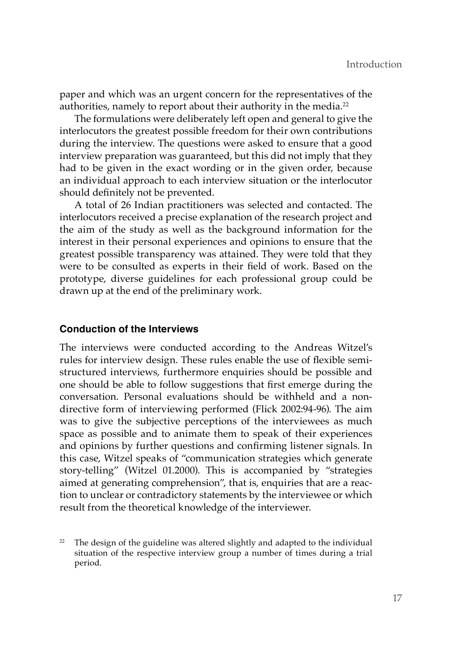paper and which was an urgent concern for the representatives of the authorities, namely to report about their authority in the media.<sup>22</sup>

The formulations were deliberately left open and general to give the interlocutors the greatest possible freedom for their own contributions during the interview. The questions were asked to ensure that a good interview preparation was guaranteed, but this did not imply that they had to be given in the exact wording or in the given order, because an individual approach to each interview situation or the interlocutor should definitely not be prevented.

A total of 26 Indian practitioners was selected and contacted. The interlocutors received a precise explanation of the research project and the aim of the study as well as the background information for the interest in their personal experiences and opinions to ensure that the greatest possible transparency was attained. They were told that they were to be consulted as experts in their field of work. Based on the prototype, diverse guidelines for each professional group could be drawn up at the end of the preliminary work.

#### **Conduction of the Interviews**

The interviews were conducted according to the Andreas Witzel's rules for interview design. These rules enable the use of flexible semistructured interviews, furthermore enquiries should be possible and one should be able to follow suggestions that first emerge during the conversation. Personal evaluations should be withheld and a nondirective form of interviewing performed (Flick 2002:94-96). The aim was to give the subjective perceptions of the interviewees as much space as possible and to animate them to speak of their experiences and opinions by further questions and confirming listener signals. In this case, Witzel speaks of "communication strategies which generate story-telling" (Witzel 01.2000). This is accompanied by "strategies aimed at generating comprehension", that is, enquiries that are a reaction to unclear or contradictory statements by the interviewee or which result from the theoretical knowledge of the interviewer.

The design of the guideline was altered slightly and adapted to the individual situation of the respective interview group a number of times during a trial period.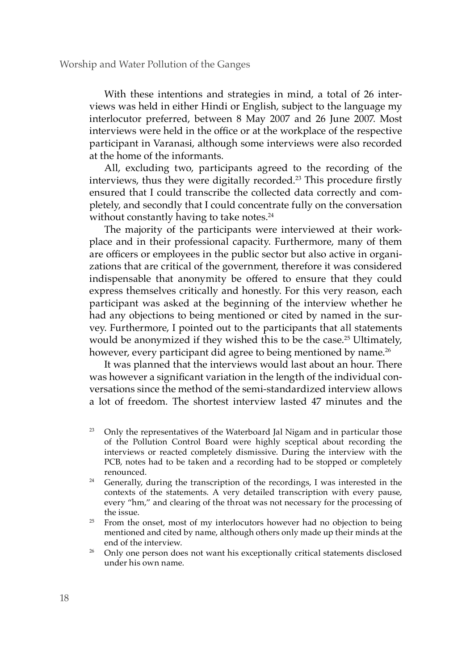Worship and Water Pollution of the Ganges

With these intentions and strategies in mind, a total of 26 interviews was held in either Hindi or English, subject to the language my interlocutor preferred, between 8 May 2007 and 26 June 2007. Most interviews were held in the office or at the workplace of the respective participant in Varanasi, although some interviews were also recorded at the home of the informants.

All, excluding two, participants agreed to the recording of the interviews, thus they were digitally recorded.<sup>23</sup> This procedure firstly ensured that I could transcribe the collected data correctly and completely, and secondly that I could concentrate fully on the conversation without constantly having to take notes.<sup>24</sup>

The majority of the participants were interviewed at their workplace and in their professional capacity. Furthermore, many of them are officers or employees in the public sector but also active in organizations that are critical of the government, therefore it was considered indispensable that anonymity be offered to ensure that they could express themselves critically and honestly. For this very reason, each participant was asked at the beginning of the interview whether he had any objections to being mentioned or cited by named in the survey. Furthermore, I pointed out to the participants that all statements would be anonymized if they wished this to be the case.<sup>25</sup> Ultimately, however, every participant did agree to being mentioned by name.<sup>26</sup>

It was planned that the interviews would last about an hour. There was however a significant variation in the length of the individual conversations since the method of the semi-standardized interview allows a lot of freedom. The shortest interview lasted 47 minutes and the

- $23$  Only the representatives of the Waterboard Jal Nigam and in particular those of the Pollution Control Board were highly sceptical about recording the interviews or reacted completely dismissive. During the interview with the PCB, notes had to be taken and a recording had to be stopped or completely
- renounced. 24 Generally, during the transcription of the recordings, I was interested in the contexts of the statements. A very detailed transcription with every pause, every "hm," and clearing of the throat was not necessary for the processing of the issue.
- <sup>25</sup> From the onset, most of my interlocutors however had no objection to being mentioned and cited by name, although others only made up their minds at the end of the interview.<br><sup>26</sup> Only one person does not want his exceptionally critical statements disclosed
- under his own name.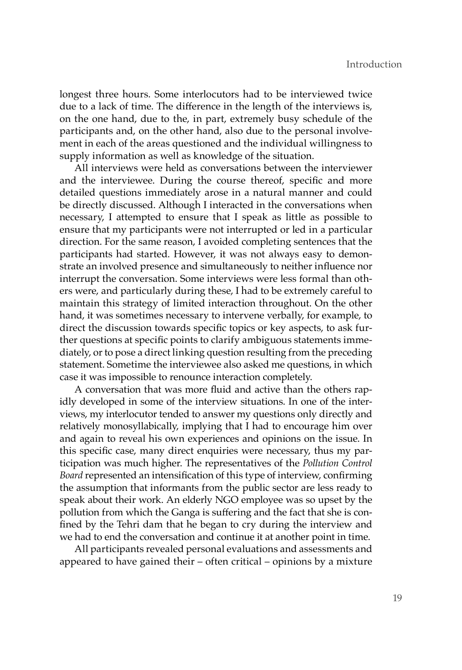longest three hours. Some interlocutors had to be interviewed twice due to a lack of time. The difference in the length of the interviews is, on the one hand, due to the, in part, extremely busy schedule of the participants and, on the other hand, also due to the personal involvement in each of the areas questioned and the individual willingness to supply information as well as knowledge of the situation.

All interviews were held as conversations between the interviewer and the interviewee. During the course thereof, specific and more detailed questions immediately arose in a natural manner and could be directly discussed. Although I interacted in the conversations when necessary, I attempted to ensure that I speak as little as possible to ensure that my participants were not interrupted or led in a particular direction. For the same reason, I avoided completing sentences that the participants had started. However, it was not always easy to demonstrate an involved presence and simultaneously to neither influence nor interrupt the conversation. Some interviews were less formal than others were, and particularly during these, I had to be extremely careful to maintain this strategy of limited interaction throughout. On the other hand, it was sometimes necessary to intervene verbally, for example, to direct the discussion towards specific topics or key aspects, to ask further questions at specific points to clarify ambiguous statements immediately, or to pose a direct linking question resulting from the preceding statement. Sometime the interviewee also asked me questions, in which case it was impossible to renounce interaction completely.

A conversation that was more fluid and active than the others rapidly developed in some of the interview situations. In one of the interviews, my interlocutor tended to answer my questions only directly and relatively monosyllabically, implying that I had to encourage him over and again to reveal his own experiences and opinions on the issue. In this specific case, many direct enquiries were necessary, thus my participation was much higher. The representatives of the *Pollution Control Board* represented an intensification of this type of interview, confirming the assumption that informants from the public sector are less ready to speak about their work. An elderly NGO employee was so upset by the pollution from which the Ganga is suffering and the fact that she is confined by the Tehri dam that he began to cry during the interview and we had to end the conversation and continue it at another point in time.

All participants revealed personal evaluations and assessments and appeared to have gained their – often critical – opinions by a mixture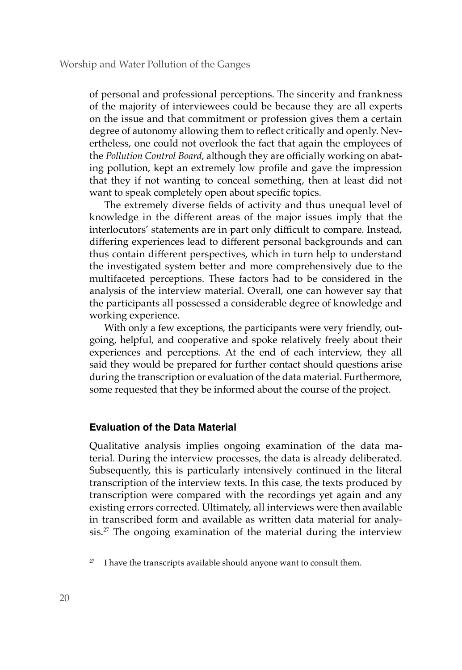of personal and professional perceptions. The sincerity and frankness of the majority of interviewees could be because they are all experts on the issue and that commitment or profession gives them a certain degree of autonomy allowing them to reflect critically and openly. Nevertheless, one could not overlook the fact that again the employees of the *Pollution Control Board*, although they are officially working on abating pollution, kept an extremely low profile and gave the impression that they if not wanting to conceal something, then at least did not want to speak completely open about specific topics.

The extremely diverse fields of activity and thus unequal level of knowledge in the different areas of the major issues imply that the interlocutors' statements are in part only difficult to compare. Instead, differing experiences lead to different personal backgrounds and can thus contain different perspectives, which in turn help to understand the investigated system better and more comprehensively due to the multifaceted perceptions. These factors had to be considered in the analysis of the interview material. Overall, one can however say that the participants all possessed a considerable degree of knowledge and working experience.

With only a few exceptions, the participants were very friendly, outgoing, helpful, and cooperative and spoke relatively freely about their experiences and perceptions. At the end of each interview, they all said they would be prepared for further contact should questions arise during the transcription or evaluation of the data material. Furthermore, some requested that they be informed about the course of the project.

#### **Evaluation of the Data Material**

Qualitative analysis implies ongoing examination of the data material. During the interview processes, the data is already deliberated. Subsequently, this is particularly intensively continued in the literal transcription of the interview texts. In this case, the texts produced by transcription were compared with the recordings yet again and any existing errors corrected. Ultimately, all interviews were then available in transcribed form and available as written data material for analysis.<sup>27</sup> The ongoing examination of the material during the interview

I have the transcripts available should anyone want to consult them.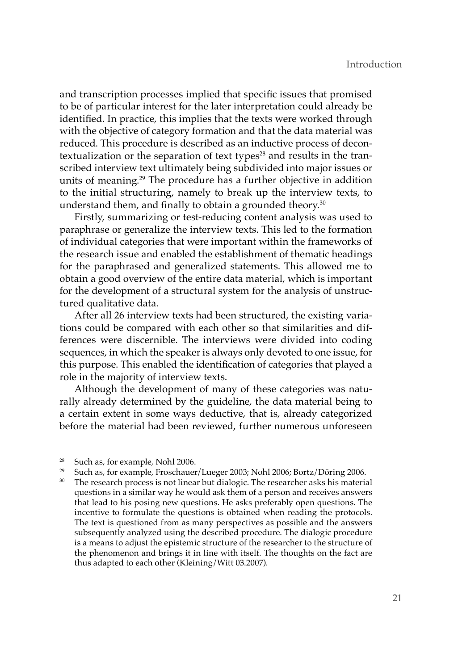and transcription processes implied that specific issues that promised to be of particular interest for the later interpretation could already be identified. In practice, this implies that the texts were worked through with the objective of category formation and that the data material was reduced. This procedure is described as an inductive process of decontextualization or the separation of text types<sup>28</sup> and results in the transcribed interview text ultimately being subdivided into major issues or units of meaning.29 The procedure has a further objective in addition to the initial structuring, namely to break up the interview texts, to understand them, and finally to obtain a grounded theory.<sup>30</sup>

Firstly, summarizing or test-reducing content analysis was used to paraphrase or generalize the interview texts. This led to the formation of individual categories that were important within the frameworks of the research issue and enabled the establishment of thematic headings for the paraphrased and generalized statements. This allowed me to obtain a good overview of the entire data material, which is important for the development of a structural system for the analysis of unstructured qualitative data.

After all 26 interview texts had been structured, the existing variations could be compared with each other so that similarities and differences were discernible. The interviews were divided into coding sequences, in which the speaker is always only devoted to one issue, for this purpose. This enabled the identification of categories that played a role in the majority of interview texts.

Although the development of many of these categories was naturally already determined by the guideline, the data material being to a certain extent in some ways deductive, that is, already categorized before the material had been reviewed, further numerous unforeseen

- <sup>28</sup> Such as, for example, Nohl 2006.
- <sup>29</sup> Such as, for example, Froschauer/Lueger 2003; Nohl 2006; Bortz/Döring 2006.
- <sup>30</sup> The research process is not linear but dialogic. The researcher asks his material questions in a similar way he would ask them of a person and receives answers that lead to his posing new questions. He asks preferably open questions. The incentive to formulate the questions is obtained when reading the protocols. The text is questioned from as many perspectives as possible and the answers subsequently analyzed using the described procedure. The dialogic procedure is a means to adjust the epistemic structure of the researcher to the structure of the phenomenon and brings it in line with itself. The thoughts on the fact are thus adapted to each other (Kleining/Witt 03.2007).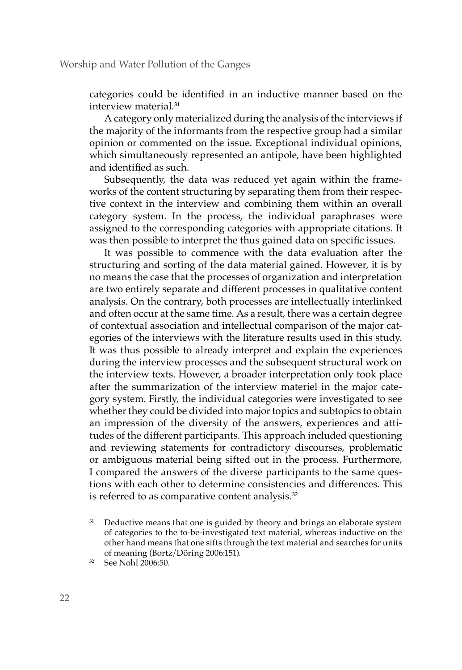categories could be identified in an inductive manner based on the interview material.31

A category only materialized during the analysis of the interviews if the majority of the informants from the respective group had a similar opinion or commented on the issue. Exceptional individual opinions, which simultaneously represented an antipole, have been highlighted and identified as such.

Subsequently, the data was reduced yet again within the frameworks of the content structuring by separating them from their respective context in the interview and combining them within an overall category system. In the process, the individual paraphrases were assigned to the corresponding categories with appropriate citations. It was then possible to interpret the thus gained data on specific issues.

It was possible to commence with the data evaluation after the structuring and sorting of the data material gained. However, it is by no means the case that the processes of organization and interpretation are two entirely separate and different processes in qualitative content analysis. On the contrary, both processes are intellectually interlinked and often occur at the same time. As a result, there was a certain degree of contextual association and intellectual comparison of the major categories of the interviews with the literature results used in this study. It was thus possible to already interpret and explain the experiences during the interview processes and the subsequent structural work on the interview texts. However, a broader interpretation only took place after the summarization of the interview materiel in the major category system. Firstly, the individual categories were investigated to see whether they could be divided into major topics and subtopics to obtain an impression of the diversity of the answers, experiences and attitudes of the different participants. This approach included questioning and reviewing statements for contradictory discourses, problematic or ambiguous material being sifted out in the process. Furthermore, I compared the answers of the diverse participants to the same questions with each other to determine consistencies and differences. This is referred to as comparative content analysis. $32$ 

<sup>&</sup>lt;sup>31</sup> Deductive means that one is guided by theory and brings an elaborate system of categories to the to-be-investigated text material, whereas inductive on the other hand means that one sifts through the text material and searches for units of meaning (Bortz/Döring 2006:151).

<sup>32</sup> See Nohl 2006:50.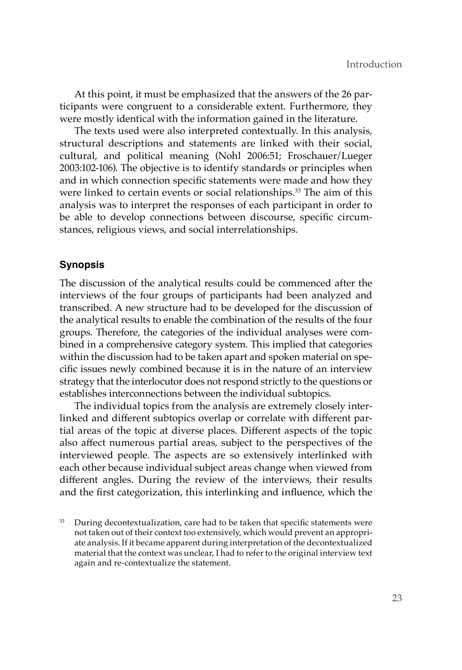At this point, it must be emphasized that the answers of the 26 participants were congruent to a considerable extent. Furthermore, they were mostly identical with the information gained in the literature.

The texts used were also interpreted contextually. In this analysis, structural descriptions and statements are linked with their social, cultural, and political meaning (Nohl 2006:51; Froschauer/Lueger 2003:102-106). The objective is to identify standards or principles when and in which connection specific statements were made and how they were linked to certain events or social relationships.<sup>33</sup> The aim of this analysis was to interpret the responses of each participant in order to be able to develop connections between discourse, specific circumstances, religious views, and social interrelationships.

## **Synopsis**

The discussion of the analytical results could be commenced after the interviews of the four groups of participants had been analyzed and transcribed. A new structure had to be developed for the discussion of the analytical results to enable the combination of the results of the four groups. Therefore, the categories of the individual analyses were combined in a comprehensive category system. This implied that categories within the discussion had to be taken apart and spoken material on specific issues newly combined because it is in the nature of an interview strategy that the interlocutor does not respond strictly to the questions or establishes interconnections between the individual subtopics.

The individual topics from the analysis are extremely closely interlinked and different subtopics overlap or correlate with different partial areas of the topic at diverse places. Different aspects of the topic also affect numerous partial areas, subject to the perspectives of the interviewed people. The aspects are so extensively interlinked with each other because individual subject areas change when viewed from different angles. During the review of the interviews, their results and the first categorization, this interlinking and influence, which the

<sup>33</sup> During decontextualization, care had to be taken that specific statements were not taken out of their context too extensively, which would prevent an appropriate analysis. If it became apparent during interpretation of the decontextualized material that the context was unclear, I had to refer to the original interview text again and re-contextualize the statement.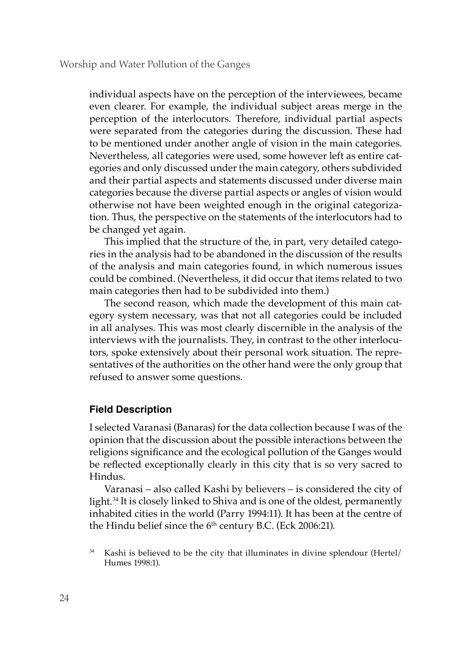individual aspects have on the perception of the interviewees, became even clearer. For example, the individual subject areas merge in the perception of the interlocutors. Therefore, individual partial aspects were separated from the categories during the discussion. These had to be mentioned under another angle of vision in the main categories. Nevertheless, all categories were used, some however left as entire categories and only discussed under the main category, others subdivided and their partial aspects and statements discussed under diverse main categories because the diverse partial aspects or angles of vision would otherwise not have been weighted enough in the original categorization. Thus, the perspective on the statements of the interlocutors had to be changed yet again.

This implied that the structure of the, in part, very detailed categories in the analysis had to be abandoned in the discussion of the results of the analysis and main categories found, in which numerous issues could be combined. (Nevertheless, it did occur that items related to two main categories then had to be subdivided into them.)

The second reason, which made the development of this main category system necessary, was that not all categories could be included in all analyses. This was most clearly discernible in the analysis of the interviews with the journalists. They, in contrast to the other interlocutors, spoke extensively about their personal work situation. The representatives of the authorities on the other hand were the only group that refused to answer some questions.

#### **Field Description**

I selected Varanasi (Banaras) for the data collection because I was of the opinion that the discussion about the possible interactions between the religions significance and the ecological pollution of the Ganges would be reflected exceptionally clearly in this city that is so very sacred to Hindus.

Varanasi – also called Kashi by believers – is considered the city of light.34 It is closely linked to Shiva and is one of the oldest, permanently inhabited cities in the world (Parry 1994:11). It has been at the centre of the Hindu belief since the 6<sup>th</sup> century B.C. (Eck 2006:21).

Kashi is believed to be the city that illuminates in divine splendour (Hertel/ Humes 1998:1).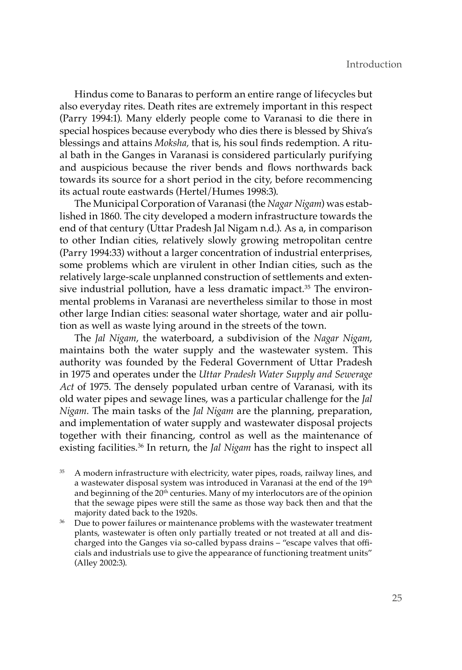Hindus come to Banaras to perform an entire range of lifecycles but also everyday rites. Death rites are extremely important in this respect (Parry 1994:1). Many elderly people come to Varanasi to die there in special hospices because everybody who dies there is blessed by Shiva's blessings and attains *Moksha,* that is, his soul finds redemption. A ritual bath in the Ganges in Varanasi is considered particularly purifying and auspicious because the river bends and flows northwards back towards its source for a short period in the city, before recommencing its actual route eastwards (Hertel/Humes 1998:3).

The Municipal Corporation of Varanasi (the *Nagar Nigam*) was established in 1860. The city developed a modern infrastructure towards the end of that century (Uttar Pradesh Jal Nigam n.d.). As a, in comparison to other Indian cities, relatively slowly growing metropolitan centre (Parry 1994:33) without a larger concentration of industrial enterprises, some problems which are virulent in other Indian cities, such as the relatively large-scale unplanned construction of settlements and extensive industrial pollution, have a less dramatic impact.<sup>35</sup> The environmental problems in Varanasi are nevertheless similar to those in most other large Indian cities: seasonal water shortage, water and air pollution as well as waste lying around in the streets of the town.

The *Jal Nigam*, the waterboard, a subdivision of the *Nagar Nigam*, maintains both the water supply and the wastewater system. This authority was founded by the Federal Government of Uttar Pradesh in 1975 and operates under the *Uttar Pradesh Water Supply and Sewerage Act* of 1975. The densely populated urban centre of Varanasi, with its old water pipes and sewage lines, was a particular challenge for the *Jal Nigam.* The main tasks of the *Jal Nigam* are the planning, preparation, and implementation of water supply and wastewater disposal projects together with their financing, control as well as the maintenance of existing facilities.36 In return, the *Jal Nigam* has the right to inspect all

- A modern infrastructure with electricity, water pipes, roads, railway lines, and a wastewater disposal system was introduced in Varanasi at the end of the 19th and beginning of the  $20<sup>th</sup>$  centuries. Many of my interlocutors are of the opinion that the sewage pipes were still the same as those way back then and that the majority dated back to the 1920s.<br><sup>36</sup> Due to power failures or maintenance problems with the wastewater treatment
- plants, wastewater is often only partially treated or not treated at all and discharged into the Ganges via so-called bypass drains – "escape valves that officials and industrials use to give the appearance of functioning treatment units" (Alley 2002:3).